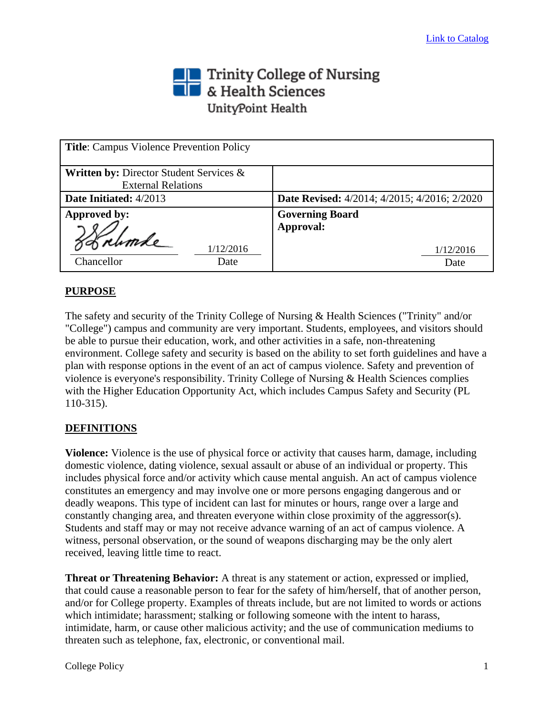# Trinity College of Nursing<br> **The State Sciences** UnityPoint Health

| <b>Title:</b> Campus Violence Prevention Policy                                 |                                                     |
|---------------------------------------------------------------------------------|-----------------------------------------------------|
| <b>Written by: Director Student Services &amp;</b><br><b>External Relations</b> |                                                     |
| <b>Date Initiated:</b> 4/2013                                                   | <b>Date Revised:</b> 4/2014; 4/2015; 4/2016; 2/2020 |
| <b>Approved by:</b>                                                             | <b>Governing Board</b><br>Approval:                 |
| 1/12/2016<br>Chancellor<br>Date                                                 | 1/12/2016<br>Date                                   |

## **PURPOSE**

The safety and security of the Trinity College of Nursing & Health Sciences ("Trinity" and/or "College") campus and community are very important. Students, employees, and visitors should be able to pursue their education, work, and other activities in a safe, non-threatening environment. College safety and security is based on the ability to set forth guidelines and have a plan with response options in the event of an act of campus violence. Safety and prevention of violence is everyone's responsibility. Trinity College of Nursing & Health Sciences complies with the Higher Education Opportunity Act, which includes Campus Safety and Security (PL 110-315).

#### **DEFINITIONS**

**Violence:** Violence is the use of physical force or activity that causes harm, damage, including domestic violence, dating violence, sexual assault or abuse of an individual or property. This includes physical force and/or activity which cause mental anguish. An act of campus violence constitutes an emergency and may involve one or more persons engaging dangerous and or deadly weapons. This type of incident can last for minutes or hours, range over a large and constantly changing area, and threaten everyone within close proximity of the aggressor(s). Students and staff may or may not receive advance warning of an act of campus violence. A witness, personal observation, or the sound of weapons discharging may be the only alert received, leaving little time to react.

**Threat or Threatening Behavior:** A threat is any statement or action, expressed or implied, that could cause a reasonable person to fear for the safety of him/herself, that of another person, and/or for College property. Examples of threats include, but are not limited to words or actions which intimidate; harassment; stalking or following someone with the intent to harass, intimidate, harm, or cause other malicious activity; and the use of communication mediums to threaten such as telephone, fax, electronic, or conventional mail.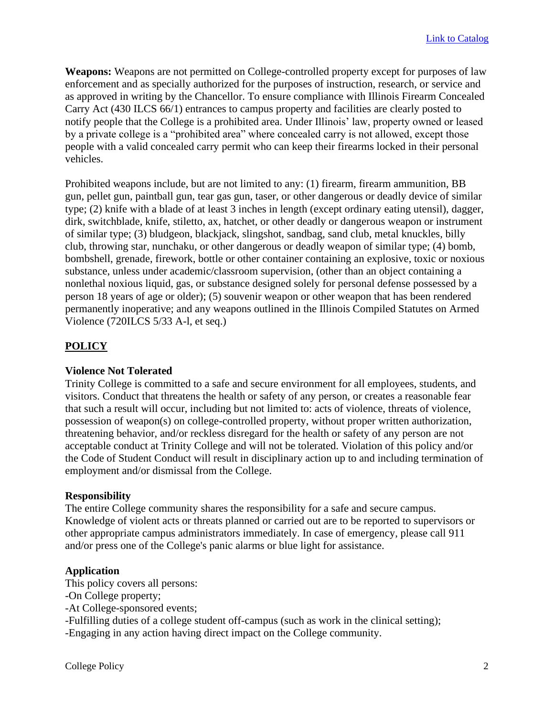**Weapons:** Weapons are not permitted on College-controlled property except for purposes of law enforcement and as specially authorized for the purposes of instruction, research, or service and as approved in writing by the Chancellor. To ensure compliance with Illinois Firearm Concealed Carry Act (430 ILCS 66/1) entrances to campus property and facilities are clearly posted to notify people that the College is a prohibited area. Under Illinois' law, property owned or leased by a private college is a "prohibited area" where concealed carry is not allowed, except those people with a valid concealed carry permit who can keep their firearms locked in their personal vehicles.

Prohibited weapons include, but are not limited to any: (1) firearm, firearm ammunition, BB gun, pellet gun, paintball gun, tear gas gun, taser, or other dangerous or deadly device of similar type; (2) knife with a blade of at least 3 inches in length (except ordinary eating utensil), dagger, dirk, switchblade, knife, stiletto, ax, hatchet, or other deadly or dangerous weapon or instrument of similar type; (3) bludgeon, blackjack, slingshot, sandbag, sand club, metal knuckles, billy club, throwing star, nunchaku, or other dangerous or deadly weapon of similar type; (4) bomb, bombshell, grenade, firework, bottle or other container containing an explosive, toxic or noxious substance, unless under academic/classroom supervision, (other than an object containing a nonlethal noxious liquid, gas, or substance designed solely for personal defense possessed by a person 18 years of age or older); (5) souvenir weapon or other weapon that has been rendered permanently inoperative; and any weapons outlined in the Illinois Compiled Statutes on Armed Violence (720ILCS 5/33 A-l, et seq.)

## **POLICY**

#### **Violence Not Tolerated**

Trinity College is committed to a safe and secure environment for all employees, students, and visitors. Conduct that threatens the health or safety of any person, or creates a reasonable fear that such a result will occur, including but not limited to: acts of violence, threats of violence, possession of weapon(s) on college-controlled property, without proper written authorization, threatening behavior, and/or reckless disregard for the health or safety of any person are not acceptable conduct at Trinity College and will not be tolerated. Violation of this policy and/or the Code of Student Conduct will result in disciplinary action up to and including termination of employment and/or dismissal from the College.

#### **Responsibility**

The entire College community shares the responsibility for a safe and secure campus. Knowledge of violent acts or threats planned or carried out are to be reported to supervisors or other appropriate campus administrators immediately. In case of emergency, please call 911 and/or press one of the College's panic alarms or blue light for assistance.

#### **Application**

This policy covers all persons:

- -On College property;
- -At College-sponsored events;

-Fulfilling duties of a college student off-campus (such as work in the clinical setting);

-Engaging in any action having direct impact on the College community.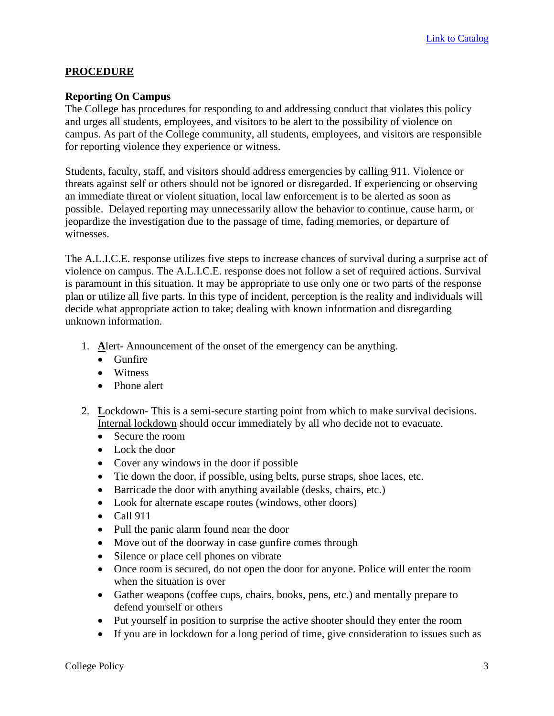#### **PROCEDURE**

#### **Reporting On Campus**

The College has procedures for responding to and addressing conduct that violates this policy and urges all students, employees, and visitors to be alert to the possibility of violence on campus. As part of the College community, all students, employees, and visitors are responsible for reporting violence they experience or witness.

Students, faculty, staff, and visitors should address emergencies by calling 911. Violence or threats against self or others should not be ignored or disregarded. If experiencing or observing an immediate threat or violent situation, local law enforcement is to be alerted as soon as possible. Delayed reporting may unnecessarily allow the behavior to continue, cause harm, or jeopardize the investigation due to the passage of time, fading memories, or departure of witnesses.

The A.L.I.C.E. response utilizes five steps to increase chances of survival during a surprise act of violence on campus. The A.L.I.C.E. response does not follow a set of required actions. Survival is paramount in this situation. It may be appropriate to use only one or two parts of the response plan or utilize all five parts. In this type of incident, perception is the reality and individuals will decide what appropriate action to take; dealing with known information and disregarding unknown information.

- 1. **A**lert- Announcement of the onset of the emergency can be anything.
	- Gunfire
	- Witness
	- Phone alert
- 2. **L**ockdown- This is a semi-secure starting point from which to make survival decisions. Internal lockdown should occur immediately by all who decide not to evacuate.
	- Secure the room
	- Lock the door
	- Cover any windows in the door if possible
	- Tie down the door, if possible, using belts, purse straps, shoe laces, etc.
	- Barricade the door with anything available (desks, chairs, etc.)
	- Look for alternate escape routes (windows, other doors)
	- Call 911
	- Pull the panic alarm found near the door
	- Move out of the doorway in case gunfire comes through
	- Silence or place cell phones on vibrate
	- Once room is secured, do not open the door for anyone. Police will enter the room when the situation is over
	- Gather weapons (coffee cups, chairs, books, pens, etc.) and mentally prepare to defend yourself or others
	- Put yourself in position to surprise the active shooter should they enter the room
	- If you are in lockdown for a long period of time, give consideration to issues such as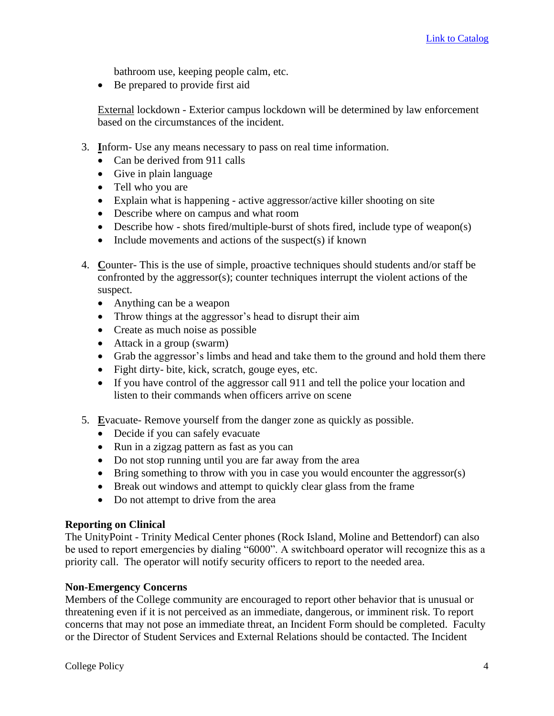bathroom use, keeping people calm, etc.

• Be prepared to provide first aid

External lockdown - Exterior campus lockdown will be determined by law enforcement based on the circumstances of the incident.

- 3. **I**nform- Use any means necessary to pass on real time information.
	- Can be derived from 911 calls
	- Give in plain language
	- Tell who you are
	- Explain what is happening active aggressor/active killer shooting on site
	- Describe where on campus and what room
	- Describe how shots fired/multiple-burst of shots fired, include type of weapon(s)
	- Include movements and actions of the suspect(s) if known
- 4. **C**ounter- This is the use of simple, proactive techniques should students and/or staff be confronted by the aggressor(s); counter techniques interrupt the violent actions of the suspect.
	- Anything can be a weapon
	- Throw things at the aggressor's head to disrupt their aim
	- Create as much noise as possible
	- Attack in a group (swarm)
	- Grab the aggressor's limbs and head and take them to the ground and hold them there
	- Fight dirty- bite, kick, scratch, gouge eyes, etc.
	- If you have control of the aggressor call 911 and tell the police your location and listen to their commands when officers arrive on scene
- 5. **E**vacuate- Remove yourself from the danger zone as quickly as possible.
	- Decide if you can safely evacuate
	- Run in a zigzag pattern as fast as you can
	- Do not stop running until you are far away from the area
	- Bring something to throw with you in case you would encounter the aggressor(s)
	- Break out windows and attempt to quickly clear glass from the frame
	- Do not attempt to drive from the area

#### **Reporting on Clinical**

The UnityPoint - Trinity Medical Center phones (Rock Island, Moline and Bettendorf) can also be used to report emergencies by dialing "6000". A switchboard operator will recognize this as a priority call. The operator will notify security officers to report to the needed area.

#### **Non-Emergency Concerns**

Members of the College community are encouraged to report other behavior that is unusual or threatening even if it is not perceived as an immediate, dangerous, or imminent risk. To report concerns that may not pose an immediate threat, an Incident Form should be completed. Faculty or the Director of Student Services and External Relations should be contacted. The Incident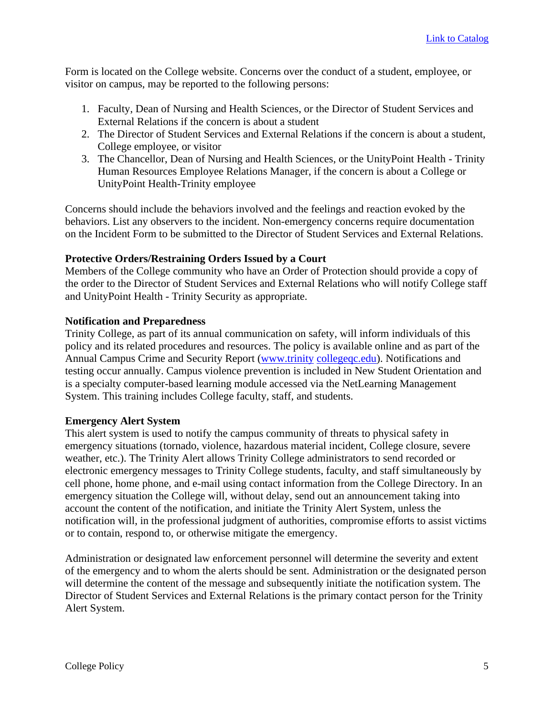Form is located on the College website. Concerns over the conduct of a student, employee, or visitor on campus, may be reported to the following persons:

- 1. Faculty, Dean of Nursing and Health Sciences, or the Director of Student Services and External Relations if the concern is about a student
- 2. The Director of Student Services and External Relations if the concern is about a student, College employee, or visitor
- 3. The Chancellor, Dean of Nursing and Health Sciences, or the UnityPoint Health Trinity Human Resources Employee Relations Manager, if the concern is about a College or UnityPoint Health-Trinity employee

Concerns should include the behaviors involved and the feelings and reaction evoked by the behaviors. List any observers to the incident. Non-emergency concerns require documentation on the Incident Form to be submitted to the Director of Student Services and External Relations.

#### **Protective Orders/Restraining Orders Issued by a Court**

Members of the College community who have an Order of Protection should provide a copy of the order to the Director of Student Services and External Relations who will notify College staff and UnityPoint Health - Trinity Security as appropriate.

## **Notification and Preparedness**

Trinity College, as part of its annual communication on safety, will inform individuals of this policy and its related procedures and resources. The policy is available online and as part of the Annual Campus Crime and Security Report [\(www.trinity](http://www.trinity/) [collegeqc.edu\)](http://collegeqc.edu/). Notifications and testing occur annually. Campus violence prevention is included in New Student Orientation and is a specialty computer-based learning module accessed via the NetLearning Management System. This training includes College faculty, staff, and students.

#### **Emergency Alert System**

This alert system is used to notify the campus community of threats to physical safety in emergency situations (tornado, violence, hazardous material incident, College closure, severe weather, etc.). The Trinity Alert allows Trinity College administrators to send recorded or electronic emergency messages to Trinity College students, faculty, and staff simultaneously by cell phone, home phone, and e-mail using contact information from the College Directory. In an emergency situation the College will, without delay, send out an announcement taking into account the content of the notification, and initiate the Trinity Alert System, unless the notification will, in the professional judgment of authorities, compromise efforts to assist victims or to contain, respond to, or otherwise mitigate the emergency.

Administration or designated law enforcement personnel will determine the severity and extent of the emergency and to whom the alerts should be sent. Administration or the designated person will determine the content of the message and subsequently initiate the notification system. The Director of Student Services and External Relations is the primary contact person for the Trinity Alert System.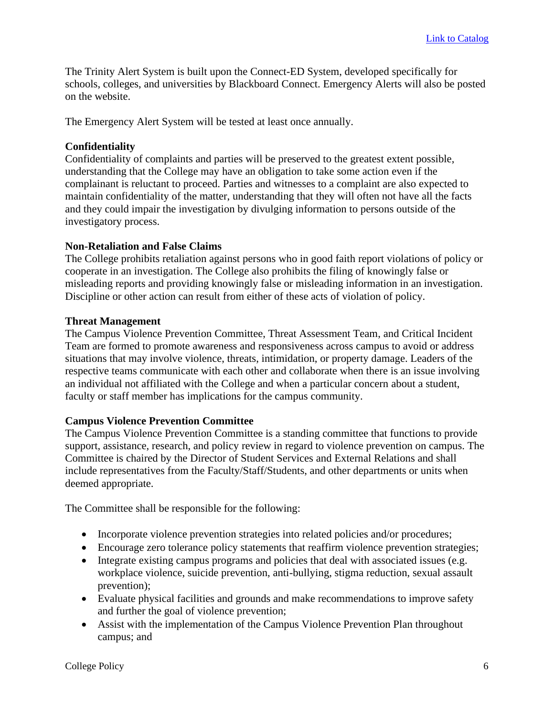The Trinity Alert System is built upon the Connect-ED System, developed specifically for schools, colleges, and universities by Blackboard Connect. Emergency Alerts will also be posted on the website.

The Emergency Alert System will be tested at least once annually.

#### **Confidentiality**

Confidentiality of complaints and parties will be preserved to the greatest extent possible, understanding that the College may have an obligation to take some action even if the complainant is reluctant to proceed. Parties and witnesses to a complaint are also expected to maintain confidentiality of the matter, understanding that they will often not have all the facts and they could impair the investigation by divulging information to persons outside of the investigatory process.

#### **Non-Retaliation and False Claims**

The College prohibits retaliation against persons who in good faith report violations of policy or cooperate in an investigation. The College also prohibits the filing of knowingly false or misleading reports and providing knowingly false or misleading information in an investigation. Discipline or other action can result from either of these acts of violation of policy.

#### **Threat Management**

The Campus Violence Prevention Committee, Threat Assessment Team, and Critical Incident Team are formed to promote awareness and responsiveness across campus to avoid or address situations that may involve violence, threats, intimidation, or property damage. Leaders of the respective teams communicate with each other and collaborate when there is an issue involving an individual not affiliated with the College and when a particular concern about a student, faculty or staff member has implications for the campus community.

#### **Campus Violence Prevention Committee**

The Campus Violence Prevention Committee is a standing committee that functions to provide support, assistance, research, and policy review in regard to violence prevention on campus. The Committee is chaired by the Director of Student Services and External Relations and shall include representatives from the Faculty/Staff/Students, and other departments or units when deemed appropriate.

The Committee shall be responsible for the following:

- Incorporate violence prevention strategies into related policies and/or procedures;
- Encourage zero tolerance policy statements that reaffirm violence prevention strategies;
- Integrate existing campus programs and policies that deal with associated issues (e.g. workplace violence, suicide prevention, anti-bullying, stigma reduction, sexual assault prevention);
- Evaluate physical facilities and grounds and make recommendations to improve safety and further the goal of violence prevention;
- Assist with the implementation of the Campus Violence Prevention Plan throughout campus; and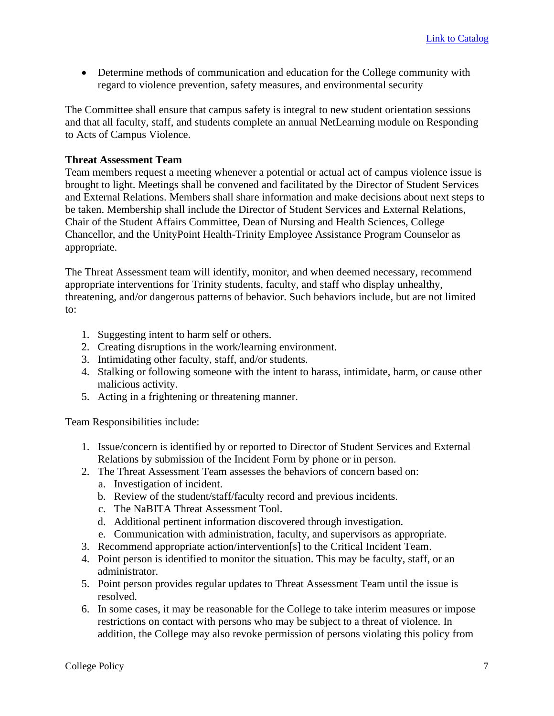• Determine methods of communication and education for the College community with regard to violence prevention, safety measures, and environmental security

The Committee shall ensure that campus safety is integral to new student orientation sessions and that all faculty, staff, and students complete an annual NetLearning module on Responding to Acts of Campus Violence.

#### **Threat Assessment Team**

Team members request a meeting whenever a potential or actual act of campus violence issue is brought to light. Meetings shall be convened and facilitated by the Director of Student Services and External Relations. Members shall share information and make decisions about next steps to be taken. Membership shall include the Director of Student Services and External Relations, Chair of the Student Affairs Committee, Dean of Nursing and Health Sciences, College Chancellor, and the UnityPoint Health-Trinity Employee Assistance Program Counselor as appropriate.

The Threat Assessment team will identify, monitor, and when deemed necessary, recommend appropriate interventions for Trinity students, faculty, and staff who display unhealthy, threatening, and/or dangerous patterns of behavior. Such behaviors include, but are not limited to:

- 1. Suggesting intent to harm self or others.
- 2. Creating disruptions in the work/learning environment.
- 3. Intimidating other faculty, staff, and/or students.
- 4. Stalking or following someone with the intent to harass, intimidate, harm, or cause other malicious activity.
- 5. Acting in a frightening or threatening manner.

Team Responsibilities include:

- 1. Issue/concern is identified by or reported to Director of Student Services and External Relations by submission of the Incident Form by phone or in person.
- 2. The Threat Assessment Team assesses the behaviors of concern based on:
	- a. Investigation of incident.
	- b. Review of the student/staff/faculty record and previous incidents.
	- c. The NaBITA Threat Assessment Tool.
	- d. Additional pertinent information discovered through investigation.
	- e. Communication with administration, faculty, and supervisors as appropriate.
- 3. Recommend appropriate action/intervention[s] to the Critical Incident Team.
- 4. Point person is identified to monitor the situation. This may be faculty, staff, or an administrator.
- 5. Point person provides regular updates to Threat Assessment Team until the issue is resolved.
- 6. In some cases, it may be reasonable for the College to take interim measures or impose restrictions on contact with persons who may be subject to a threat of violence. In addition, the College may also revoke permission of persons violating this policy from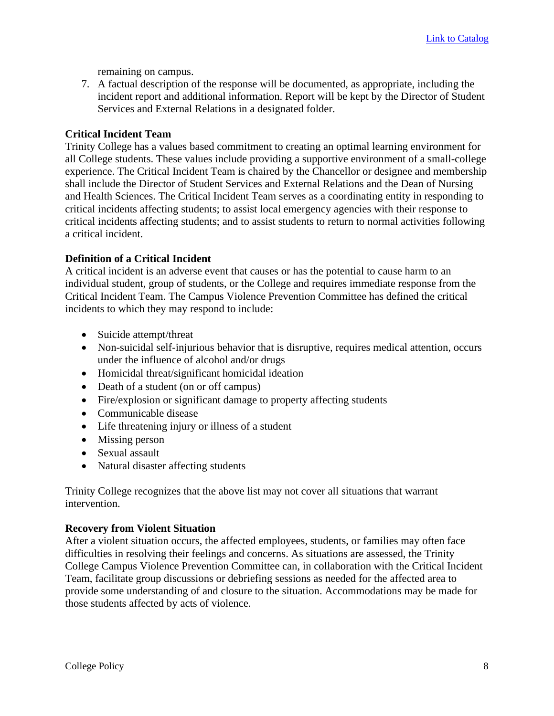remaining on campus.

7. A factual description of the response will be documented, as appropriate, including the incident report and additional information. Report will be kept by the Director of Student Services and External Relations in a designated folder.

#### **Critical Incident Team**

Trinity College has a values based commitment to creating an optimal learning environment for all College students. These values include providing a supportive environment of a small-college experience. The Critical Incident Team is chaired by the Chancellor or designee and membership shall include the Director of Student Services and External Relations and the Dean of Nursing and Health Sciences. The Critical Incident Team serves as a coordinating entity in responding to critical incidents affecting students; to assist local emergency agencies with their response to critical incidents affecting students; and to assist students to return to normal activities following a critical incident.

#### **Definition of a Critical Incident**

A critical incident is an adverse event that causes or has the potential to cause harm to an individual student, group of students, or the College and requires immediate response from the Critical Incident Team. The Campus Violence Prevention Committee has defined the critical incidents to which they may respond to include:

- Suicide attempt/threat
- Non-suicidal self-injurious behavior that is disruptive, requires medical attention, occurs under the influence of alcohol and/or drugs
- Homicidal threat/significant homicidal ideation
- Death of a student (on or off campus)
- Fire/explosion or significant damage to property affecting students
- Communicable disease
- Life threatening injury or illness of a student
- Missing person
- Sexual assault
- Natural disaster affecting students

Trinity College recognizes that the above list may not cover all situations that warrant intervention.

#### **Recovery from Violent Situation**

After a violent situation occurs, the affected employees, students, or families may often face difficulties in resolving their feelings and concerns. As situations are assessed, the Trinity College Campus Violence Prevention Committee can, in collaboration with the Critical Incident Team, facilitate group discussions or debriefing sessions as needed for the affected area to provide some understanding of and closure to the situation. Accommodations may be made for those students affected by acts of violence.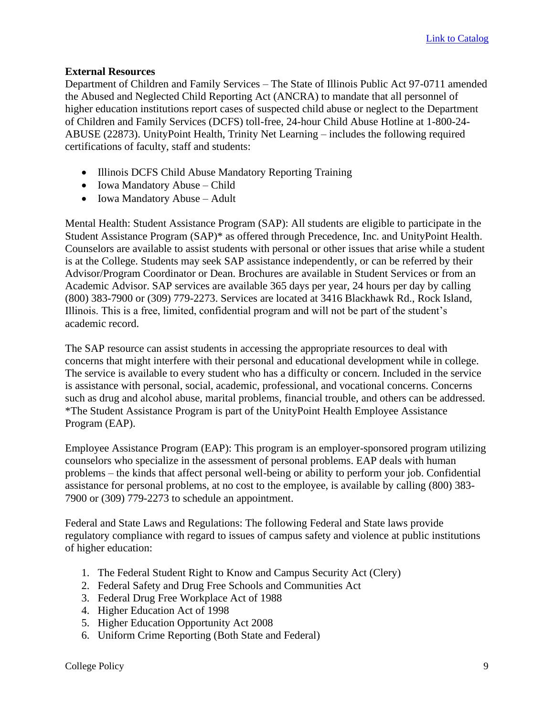#### **External Resources**

Department of Children and Family Services – The State of Illinois Public Act 97-0711 amended the Abused and Neglected Child Reporting Act (ANCRA) to mandate that all personnel of higher education institutions report cases of suspected child abuse or neglect to the Department of Children and Family Services (DCFS) toll-free, 24-hour Child Abuse Hotline at 1-800-24- ABUSE (22873). UnityPoint Health, Trinity Net Learning – includes the following required certifications of faculty, staff and students:

- Illinois DCFS Child Abuse Mandatory Reporting Training
- Iowa Mandatory Abuse Child
- Iowa Mandatory Abuse Adult

Mental Health: Student Assistance Program (SAP): All students are eligible to participate in the Student Assistance Program (SAP)\* as offered through Precedence, Inc. and UnityPoint Health. Counselors are available to assist students with personal or other issues that arise while a student is at the College. Students may seek SAP assistance independently, or can be referred by their Advisor/Program Coordinator or Dean. Brochures are available in Student Services or from an Academic Advisor. SAP services are available 365 days per year, 24 hours per day by calling (800) 383-7900 or (309) 779-2273. Services are located at 3416 Blackhawk Rd., Rock Island, Illinois. This is a free, limited, confidential program and will not be part of the student's academic record.

The SAP resource can assist students in accessing the appropriate resources to deal with concerns that might interfere with their personal and educational development while in college. The service is available to every student who has a difficulty or concern. Included in the service is assistance with personal, social, academic, professional, and vocational concerns. Concerns such as drug and alcohol abuse, marital problems, financial trouble, and others can be addressed. \*The Student Assistance Program is part of the UnityPoint Health Employee Assistance Program (EAP).

Employee Assistance Program (EAP): This program is an employer-sponsored program utilizing counselors who specialize in the assessment of personal problems. EAP deals with human problems – the kinds that affect personal well-being or ability to perform your job. Confidential assistance for personal problems, at no cost to the employee, is available by calling (800) 383- 7900 or (309) 779-2273 to schedule an appointment.

Federal and State Laws and Regulations: The following Federal and State laws provide regulatory compliance with regard to issues of campus safety and violence at public institutions of higher education:

- 1. The Federal Student Right to Know and Campus Security Act (Clery)
- 2. Federal Safety and Drug Free Schools and Communities Act
- 3. Federal Drug Free Workplace Act of 1988
- 4. Higher Education Act of 1998
- 5. Higher Education Opportunity Act 2008
- 6. Uniform Crime Reporting (Both State and Federal)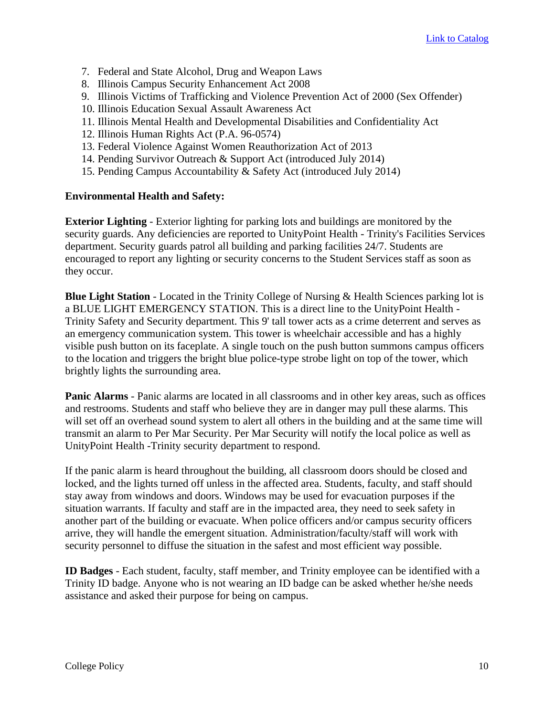- 7. Federal and State Alcohol, Drug and Weapon Laws
- 8. Illinois Campus Security Enhancement Act 2008
- 9. Illinois Victims of Trafficking and Violence Prevention Act of 2000 (Sex Offender)
- 10. Illinois Education Sexual Assault Awareness Act
- 11. Illinois Mental Health and Developmental Disabilities and Confidentiality Act
- 12. Illinois Human Rights Act (P.A. 96-0574)
- 13. Federal Violence Against Women Reauthorization Act of 2013
- 14. Pending Survivor Outreach & Support Act (introduced July 2014)
- 15. Pending Campus Accountability & Safety Act (introduced July 2014)

## **Environmental Health and Safety:**

**Exterior Lighting** - Exterior lighting for parking lots and buildings are monitored by the security guards. Any deficiencies are reported to UnityPoint Health - Trinity's Facilities Services department. Security guards patrol all building and parking facilities 24/7. Students are encouraged to report any lighting or security concerns to the Student Services staff as soon as they occur.

**Blue Light Station** - Located in the Trinity College of Nursing & Health Sciences parking lot is a BLUE LIGHT EMERGENCY STATION. This is a direct line to the UnityPoint Health - Trinity Safety and Security department. This 9' tall tower acts as a crime deterrent and serves as an emergency communication system. This tower is wheelchair accessible and has a highly visible push button on its faceplate. A single touch on the push button summons campus officers to the location and triggers the bright blue police-type strobe light on top of the tower, which brightly lights the surrounding area.

**Panic Alarms** - Panic alarms are located in all classrooms and in other key areas, such as offices and restrooms. Students and staff who believe they are in danger may pull these alarms. This will set off an overhead sound system to alert all others in the building and at the same time will transmit an alarm to Per Mar Security. Per Mar Security will notify the local police as well as UnityPoint Health -Trinity security department to respond.

If the panic alarm is heard throughout the building, all classroom doors should be closed and locked, and the lights turned off unless in the affected area. Students, faculty, and staff should stay away from windows and doors. Windows may be used for evacuation purposes if the situation warrants. If faculty and staff are in the impacted area, they need to seek safety in another part of the building or evacuate. When police officers and/or campus security officers arrive, they will handle the emergent situation. Administration/faculty/staff will work with security personnel to diffuse the situation in the safest and most efficient way possible.

**ID Badges** - Each student, faculty, staff member, and Trinity employee can be identified with a Trinity ID badge. Anyone who is not wearing an ID badge can be asked whether he/she needs assistance and asked their purpose for being on campus.